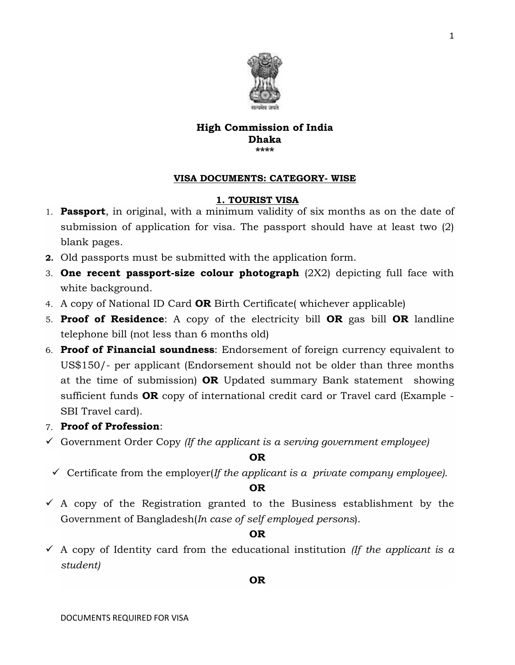

## High Commission of India Dhaka \*\*\*\*

## VISA DOCUMENTS: CATEGORY- WISE

## 1. TOURIST VISA

- 1. **Passport**, in original, with a minimum validity of six months as on the date of submission of application for visa. The passport should have at least two (2) blank pages.
- 2. Old passports must be submitted with the application form.
- 3. One recent passport-size colour photograph  $(2X2)$  depicting full face with white background.
- 4. A copy of National ID Card OR Birth Certificate( whichever applicable)
- 5. Proof of Residence: A copy of the electricity bill OR gas bill OR landline telephone bill (not less than 6 months old)
- 6. Proof of Financial soundness: Endorsement of foreign currency equivalent to US\$150/- per applicant (Endorsement should not be older than three months at the time of submission) OR Updated summary Bank statement showing sufficient funds **OR** copy of international credit card or Travel card (Example -SBI Travel card).

# 7. Proof of Profession:

Government Order Copy *(If the applicant is a serving government employee)*

# OR

 $\checkmark$  Certificate from the employer(*If the applicant is a private company employee*).

## OR

 $\overline{A}$  A copy of the Registration granted to the Business establishment by the Government of Bangladesh(*In case of self employed persons*).

# OR

 $\checkmark$  A copy of Identity card from the educational institution *(If the applicant is a student)*

## OR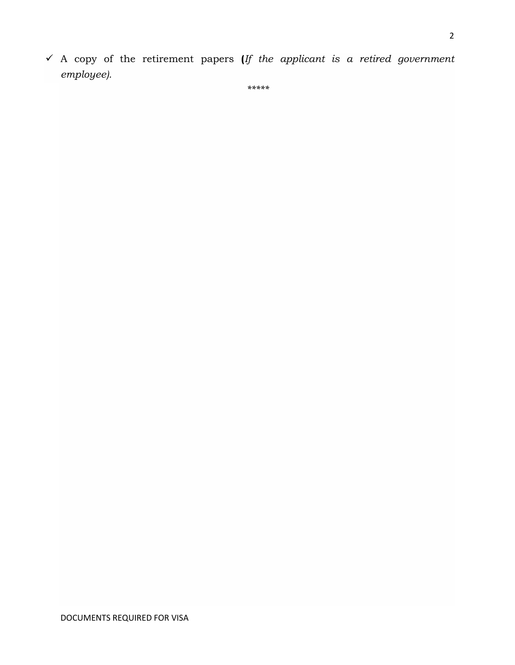A copy of the retirement papers (*If the applicant is a retired government employee).*

*\*\*\*\*\**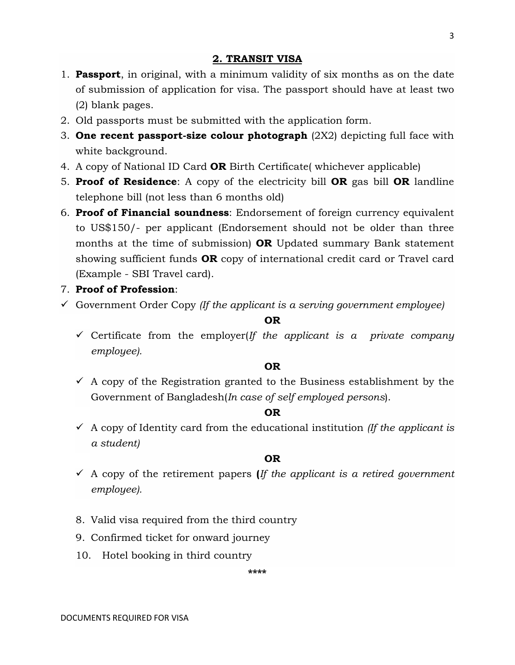# 2. TRANSIT VISA

- 1. **Passport**, in original, with a minimum validity of six months as on the date of submission of application for visa. The passport should have at least two (2) blank pages.
- 2. Old passports must be submitted with the application form.
- 3. One recent passport-size colour photograph  $(2X2)$  depicting full face with white background.
- 4. A copy of National ID Card **OR** Birth Certificate whichever applicable)
- 5. Proof of Residence: A copy of the electricity bill OR gas bill OR landline telephone bill (not less than 6 months old)
- 6. **Proof of Financial soundness**: Endorsement of foreign currency equivalent to US\$150/- per applicant (Endorsement should not be older than three months at the time of submission) **OR** Updated summary Bank statement showing sufficient funds OR copy of international credit card or Travel card (Example - SBI Travel card).
- 7. Proof of Profession:
- Government Order Copy *(If the applicant is a serving government employee)*

#### OR

 $\checkmark$  Certificate from the employer(*If the applicant is a private company employee).*

## OR

 $\checkmark$  A copy of the Registration granted to the Business establishment by the Government of Bangladesh(*In case of self employed persons*).

## OR

 $\checkmark$  A copy of Identity card from the educational institution *(If the applicant is a student)*

## OR

- A copy of the retirement papers (*If the applicant is a retired government employee).*
- 8. Valid visa required from the third country
- 9. Confirmed ticket for onward journey
- 10. Hotel booking in third country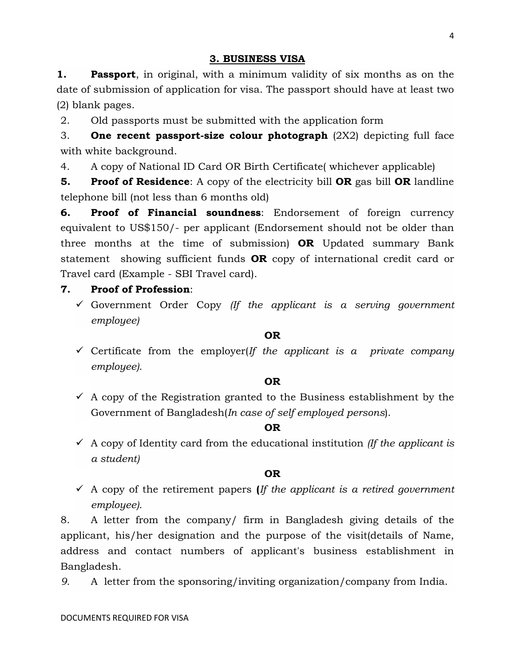**1. Passport**, in original, with a minimum validity of six months as on the date of submission of application for visa. The passport should have at least two (2) blank pages.

2. Old passports must be submitted with the application form

3. One recent passport-size colour photograph (2X2) depicting full face with white background.

4. A copy of National ID Card OR Birth Certificate( whichever applicable)

**5.** Proof of Residence: A copy of the electricity bill OR gas bill OR landline telephone bill (not less than 6 months old)

6. Proof of Financial soundness: Endorsement of foreign currency equivalent to US\$150/- per applicant (Endorsement should not be older than three months at the time of submission)  $OR$  Updated summary Bank statement showing sufficient funds **OR** copy of international credit card or Travel card (Example - SBI Travel card).

# 7. Proof of Profession:

 Government Order Copy *(If the applicant is a serving government employee)*

## OR

 Certificate from the employer(*If the applicant is a private company employee).*

## OR

 $\checkmark$  A copy of the Registration granted to the Business establishment by the Government of Bangladesh(*In case of self employed persons*).

## OR

 $\checkmark$  A copy of Identity card from the educational institution *(If the applicant is a student)*

## OR

 A copy of the retirement papers (*If the applicant is a retired government employee).*

8. A letter from the company/ firm in Bangladesh giving details of the applicant, his/her designation and the purpose of the visit(details of Name, address and contact numbers of applicant's business establishment in Bangladesh.

*9.* A letter from the sponsoring/inviting organization/company from India.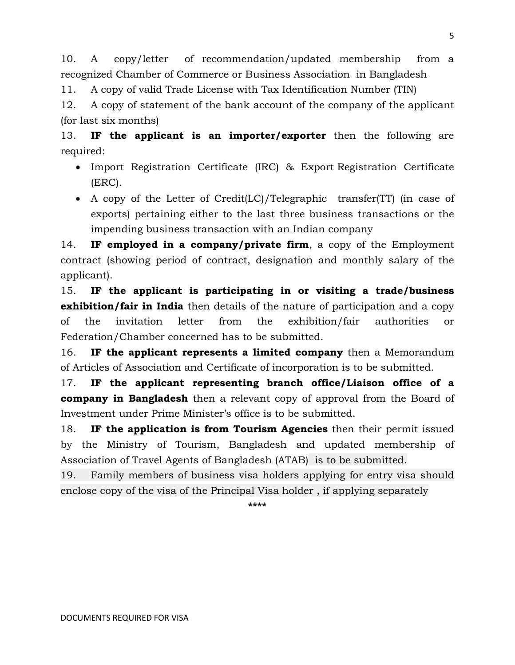10. A copy/letter of recommendation/updated membership from a recognized Chamber of Commerce or Business Association in Bangladesh

11. A copy of valid Trade License with Tax Identification Number (TIN)

12. A copy of statement of the bank account of the company of the applicant (for last six months)

13. IF the applicant is an importer/exporter then the following are required:

- Import Registration Certificate (IRC) & Export Registration Certificate (ERC).
- A copy of the Letter of Credit(LC)/Telegraphic transfer(TT) (in case of exports) pertaining either to the last three business transactions or the impending business transaction with an Indian company

14. IF employed in a company/private firm, a copy of the Employment contract (showing period of contract, designation and monthly salary of the applicant).

15. IF the applicant is participating in or visiting a trade/business **exhibition/fair in India** then details of the nature of participation and a copy of the invitation letter from the exhibition/fair authorities or Federation/Chamber concerned has to be submitted.

16. IF the applicant represents a limited company then a Memorandum of Articles of Association and Certificate of incorporation is to be submitted.

17. IF the applicant representing branch office/Liaison office of a **company in Bangladesh** then a relevant copy of approval from the Board of Investment under Prime Minister's office is to be submitted.

18. IF the application is from Tourism Agencies then their permit issued by the Ministry of Tourism, Bangladesh and updated membership of Association of Travel Agents of Bangladesh (ATAB) is to be submitted.

19. Family members of business visa holders applying for entry visa should enclose copy of the visa of the Principal Visa holder , if applying separately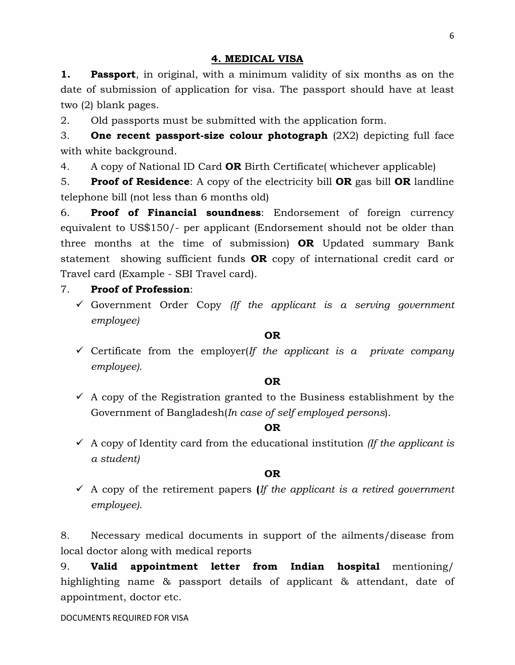#### 4. MEDICAL VISA

1. **Passport**, in original, with a minimum validity of six months as on the date of submission of application for visa. The passport should have at least two (2) blank pages.

2. Old passports must be submitted with the application form.

3. One recent passport-size colour photograph (2X2) depicting full face with white background.

4. A copy of National ID Card **OR** Birth Certificate whichever applicable)

5. **Proof of Residence:** A copy of the electricity bill **OR** gas bill **OR** landline telephone bill (not less than 6 months old)

6. Proof of Financial soundness: Endorsement of foreign currency equivalent to US\$150/- per applicant (Endorsement should not be older than three months at the time of submission)  $OR$  Updated summary Bank statement showing sufficient funds **OR** copy of international credit card or Travel card (Example - SBI Travel card).

### 7. Proof of Profession:

 Government Order Copy *(If the applicant is a serving government employee)*

#### OR

 Certificate from the employer(*If the applicant is a private company employee).*

#### OR

 $\checkmark$  A copy of the Registration granted to the Business establishment by the Government of Bangladesh(*In case of self employed persons*).

#### OR

 $\checkmark$  A copy of Identity card from the educational institution *(If the applicant is a student)*

#### OR

 A copy of the retirement papers (*If the applicant is a retired government employee).*

8. Necessary medical documents in support of the ailments/disease from local doctor along with medical reports

9. Valid appointment letter from Indian hospital mentioning/ highlighting name & passport details of applicant & attendant, date of appointment, doctor etc.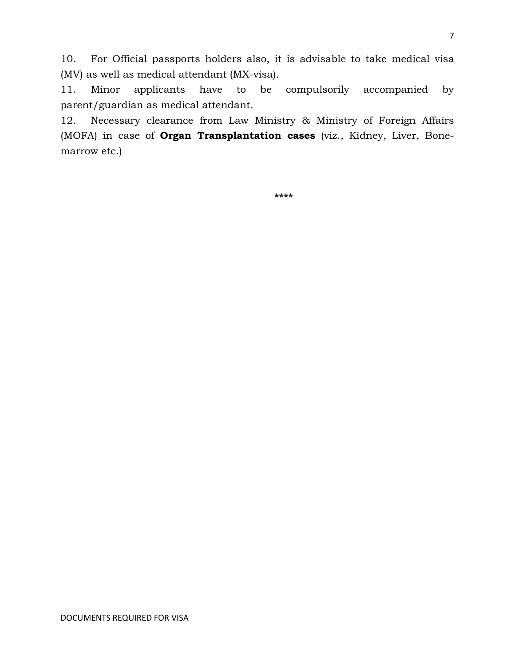10. For Official passports holders also, it is advisable to take medical visa (MV) as well as medical attendant (MX-visa).

11. Minor applicants have to be compulsorily accompanied by parent/guardian as medical attendant.

12. Necessary clearance from Law Ministry & Ministry of Foreign Affairs (MOFA) in case of Organ Transplantation cases (viz., Kidney, Liver, Bonemarrow etc.)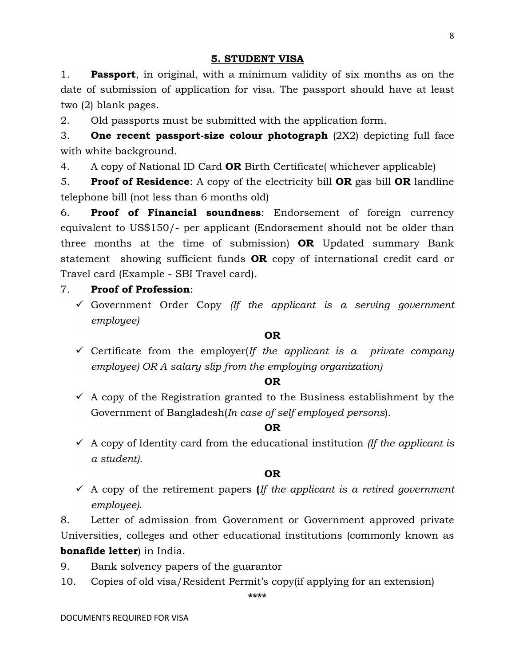1. **Passport**, in original, with a minimum validity of six months as on the date of submission of application for visa. The passport should have at least two (2) blank pages.

2. Old passports must be submitted with the application form.

3. One recent passport-size colour photograph (2X2) depicting full face with white background.

4. A copy of National ID Card **OR** Birth Certificate whichever applicable)

5. **Proof of Residence:** A copy of the electricity bill **OR** gas bill **OR** landline telephone bill (not less than 6 months old)

6. Proof of Financial soundness: Endorsement of foreign currency equivalent to US\$150/- per applicant (Endorsement should not be older than three months at the time of submission)  $OR$  Updated summary Bank statement showing sufficient funds **OR** copy of international credit card or Travel card (Example - SBI Travel card).

# 7. Proof of Profession:

 Government Order Copy *(If the applicant is a serving government employee)*

## OR

 Certificate from the employer(*If the applicant is a private company employee) OR A salary slip from the employing organization)*

## OR

 $\checkmark$  A copy of the Registration granted to the Business establishment by the Government of Bangladesh(*In case of self employed persons*).

## OR

 $\checkmark$  A copy of Identity card from the educational institution *(If the applicant is a student).*

## OR

 A copy of the retirement papers (*If the applicant is a retired government employee).*

8. Letter of admission from Government or Government approved private Universities, colleges and other educational institutions (commonly known as bonafide letter) in India.

- 9. Bank solvency papers of the guarantor
- 10. Copies of old visa/Resident Permit's copy(if applying for an extension)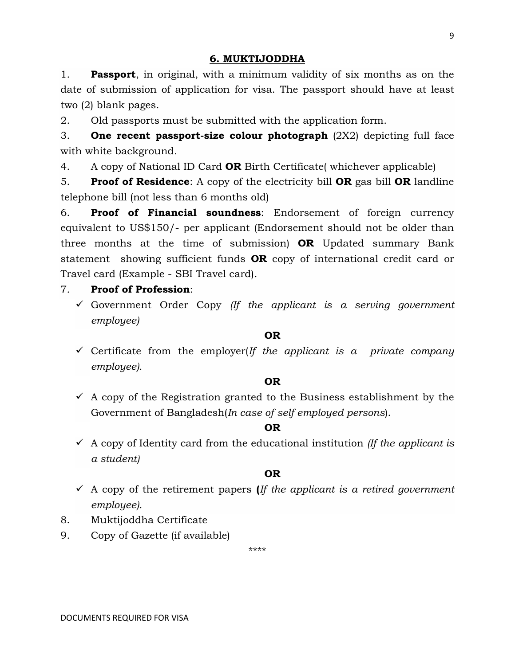# 6. MUKTIJODDHA

1. **Passport**, in original, with a minimum validity of six months as on the date of submission of application for visa. The passport should have at least two (2) blank pages.

2. Old passports must be submitted with the application form.

3. One recent passport-size colour photograph (2X2) depicting full face with white background.

4. A copy of National ID Card **OR** Birth Certificate whichever applicable)

5. **Proof of Residence:** A copy of the electricity bill **OR** gas bill **OR** landline telephone bill (not less than 6 months old)

6. Proof of Financial soundness: Endorsement of foreign currency equivalent to US\$150/- per applicant (Endorsement should not be older than three months at the time of submission)  $OR$  Updated summary Bank statement showing sufficient funds **OR** copy of international credit card or Travel card (Example - SBI Travel card).

# 7. Proof of Profession:

 Government Order Copy *(If the applicant is a serving government employee)*

## OR

 Certificate from the employer(*If the applicant is a private company employee).*

## OR

 $\checkmark$  A copy of the Registration granted to the Business establishment by the Government of Bangladesh(*In case of self employed persons*).

## OR

 $\checkmark$  A copy of Identity card from the educational institution *(If the applicant is a student)*

## OR

- A copy of the retirement papers (*If the applicant is a retired government employee).*
- 8. Muktijoddha Certificate
- 9. Copy of Gazette (if available)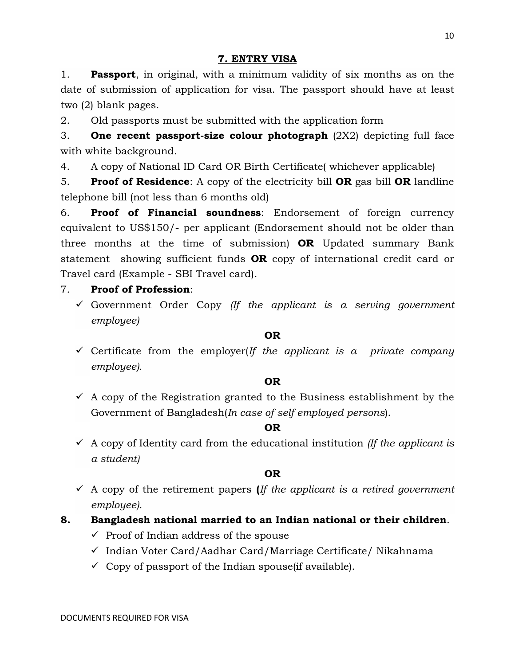# 7. ENTRY VISA

1. **Passport**, in original, with a minimum validity of six months as on the date of submission of application for visa. The passport should have at least two (2) blank pages.

2. Old passports must be submitted with the application form

3. One recent passport-size colour photograph (2X2) depicting full face with white background.

4. A copy of National ID Card OR Birth Certificate( whichever applicable)

5. **Proof of Residence:** A copy of the electricity bill **OR** gas bill **OR** landline telephone bill (not less than 6 months old)

6. Proof of Financial soundness: Endorsement of foreign currency equivalent to US\$150/- per applicant (Endorsement should not be older than three months at the time of submission)  $OR$  Updated summary Bank statement showing sufficient funds **OR** copy of international credit card or Travel card (Example - SBI Travel card).

# 7. Proof of Profession:

 Government Order Copy *(If the applicant is a serving government employee)*

## OR

 $\checkmark$  Certificate from the employer(*If the applicant is a private company employee).*

## OR

 $\checkmark$  A copy of the Registration granted to the Business establishment by the Government of Bangladesh(*In case of self employed persons*).

## OR

 $\checkmark$  A copy of Identity card from the educational institution *(If the applicant is a student)*

## OR

 A copy of the retirement papers (*If the applicant is a retired government employee).*

# 8. Bangladesh national married to an Indian national or their children.

- $\checkmark$  Proof of Indian address of the spouse
- $\checkmark$  Indian Voter Card/Aadhar Card/Marriage Certificate/ Nikahnama
- $\checkmark$  Copy of passport of the Indian spouse (if available).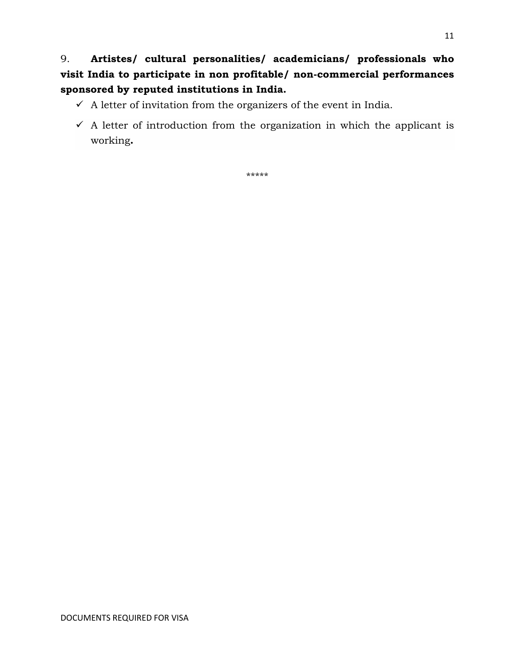9. Artistes/ cultural personalities/ academicians/ professionals who visit India to participate in non profitable/ non-commercial performances sponsored by reputed institutions in India.

- $\checkmark$  A letter of invitation from the organizers of the event in India.
- $\checkmark$  A letter of introduction from the organization in which the applicant is working.

\*\*\*\*\*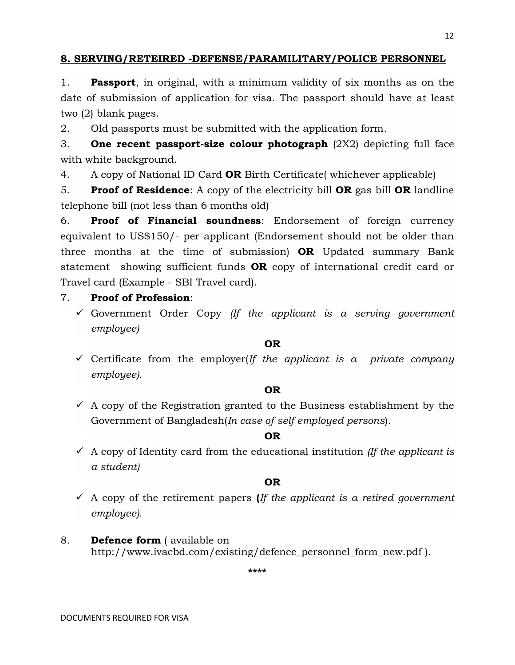## 8. SERVING/RETEIRED -DEFENSE/PARAMILITARY/POLICE PERSONNEL

1. **Passport**, in original, with a minimum validity of six months as on the date of submission of application for visa. The passport should have at least two (2) blank pages.

2. Old passports must be submitted with the application form.

3. One recent passport-size colour photograph (2X2) depicting full face with white background.

4. A copy of National ID Card **OR** Birth Certificate (whichever applicable)

5. Proof of Residence: A copy of the electricity bill OR gas bill OR landline telephone bill (not less than 6 months old)

6. Proof of Financial soundness: Endorsement of foreign currency equivalent to US\$150/- per applicant (Endorsement should not be older than three months at the time of submission)  $OR$  Updated summary Bank statement showing sufficient funds **OR** copy of international credit card or Travel card (Example - SBI Travel card).

# 7. Proof of Profession:

 Government Order Copy *(If the applicant is a serving government employee)*

#### OR

 Certificate from the employer(*If the applicant is a private company employee).*

## OR

 $\checkmark$  A copy of the Registration granted to the Business establishment by the Government of Bangladesh(*In case of self employed persons*).

## OR

 $\checkmark$  A copy of Identity card from the educational institution *(If the applicant is a student)*

# OR

- A copy of the retirement papers (*If the applicant is a retired government employee).*
- 8. **Defence form** ( available on http://www.ivacbd.com/existing/defence\_personnel\_form\_new.pdf ).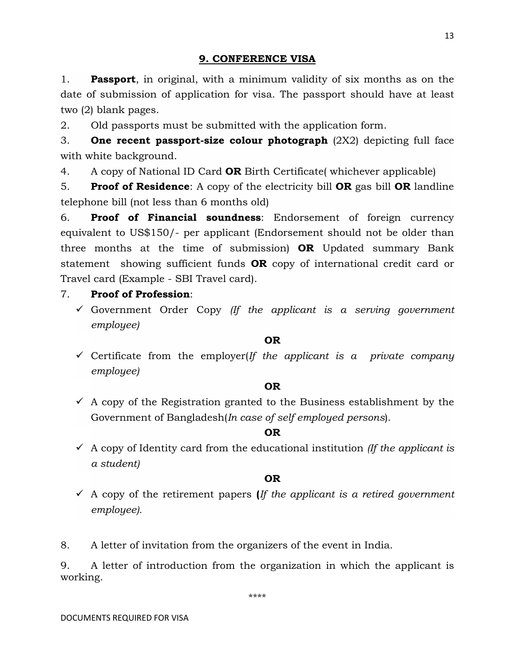#### 9. CONFERENCE VISA

1. **Passport**, in original, with a minimum validity of six months as on the date of submission of application for visa. The passport should have at least two (2) blank pages.

2. Old passports must be submitted with the application form.

3. One recent passport-size colour photograph  $(2X2)$  depicting full face with white background.

4. A copy of National ID Card **OR** Birth Certificate whichever applicable)

5. Proof of Residence: A copy of the electricity bill OR gas bill OR landline telephone bill (not less than 6 months old)

6. Proof of Financial soundness: Endorsement of foreign currency equivalent to US\$150/- per applicant (Endorsement should not be older than three months at the time of submission) OR Updated summary Bank statement showing sufficient funds **OR** copy of international credit card or Travel card (Example - SBI Travel card).

#### 7. Proof of Profession:

 Government Order Copy *(If the applicant is a serving government employee)*

#### OR

 $\checkmark$  Certificate from the employer(*If the applicant is a private company employee)*

#### OR

 $\checkmark$  A copy of the Registration granted to the Business establishment by the Government of Bangladesh(*In case of self employed persons*).

#### OR

 $\checkmark$  A copy of Identity card from the educational institution *(If the applicant is*  $\checkmark$ *) a student)*

#### OR

 A copy of the retirement papers (*If the applicant is a retired government employee).*

8. A letter of invitation from the organizers of the event in India.

9. A letter of introduction from the organization in which the applicant is working.